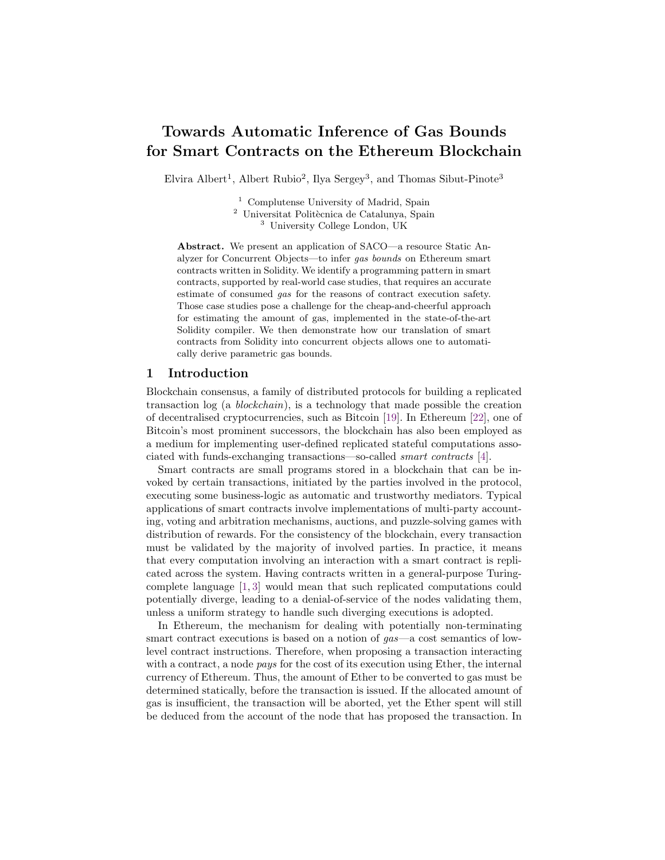# Towards Automatic Inference of Gas Bounds for Smart Contracts on the Ethereum Blockchain

Elvira Albert<sup>1</sup>, Albert Rubio<sup>2</sup>, Ilya Sergey<sup>3</sup>, and Thomas Sibut-Pinote<sup>3</sup>

<sup>1</sup> Complutense University of Madrid, Spain <sup>2</sup> Universitat Politècnica de Catalunya, Spain

<sup>3</sup> University College London, UK

Abstract. We present an application of SACO—a resource Static Analyzer for Concurrent Objects—to infer gas bounds on Ethereum smart contracts written in Solidity. We identify a programming pattern in smart contracts, supported by real-world case studies, that requires an accurate estimate of consumed gas for the reasons of contract execution safety. Those case studies pose a challenge for the cheap-and-cheerful approach for estimating the amount of gas, implemented in the state-of-the-art Solidity compiler. We then demonstrate how our translation of smart contracts from Solidity into concurrent objects allows one to automatically derive parametric gas bounds.

## 1 Introduction

Blockchain consensus, a family of distributed protocols for building a replicated transaction log (a blockchain), is a technology that made possible the creation of decentralised cryptocurrencies, such as Bitcoin [\[19\]](#page-6-0). In Ethereum [\[22\]](#page-6-1), one of Bitcoin's most prominent successors, the blockchain has also been employed as a medium for implementing user-defined replicated stateful computations associated with funds-exchanging transactions—so-called smart contracts [\[4\]](#page-6-2).

Smart contracts are small programs stored in a blockchain that can be invoked by certain transactions, initiated by the parties involved in the protocol, executing some business-logic as automatic and trustworthy mediators. Typical applications of smart contracts involve implementations of multi-party accounting, voting and arbitration mechanisms, auctions, and puzzle-solving games with distribution of rewards. For the consistency of the blockchain, every transaction must be validated by the majority of involved parties. In practice, it means that every computation involving an interaction with a smart contract is replicated across the system. Having contracts written in a general-purpose Turingcomplete language [\[1,](#page-6-3) [3\]](#page-6-4) would mean that such replicated computations could potentially diverge, leading to a denial-of-service of the nodes validating them, unless a uniform strategy to handle such diverging executions is adopted.

In Ethereum, the mechanism for dealing with potentially non-terminating smart contract executions is based on a notion of  $gas$ —a cost semantics of lowlevel contract instructions. Therefore, when proposing a transaction interacting with a contract, a node *pays* for the cost of its execution using Ether, the internal currency of Ethereum. Thus, the amount of Ether to be converted to gas must be determined statically, before the transaction is issued. If the allocated amount of gas is insufficient, the transaction will be aborted, yet the Ether spent will still be deduced from the account of the node that has proposed the transaction. In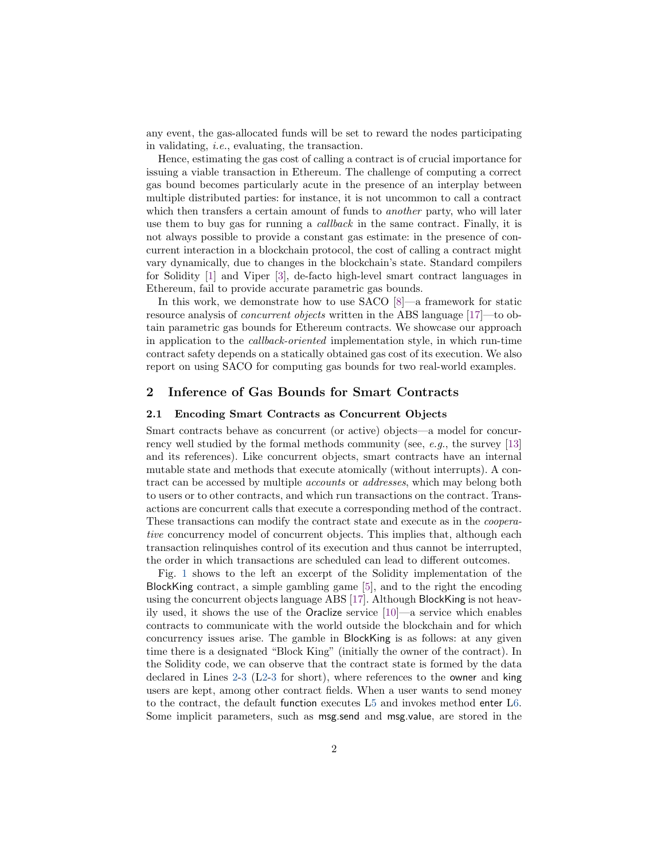any event, the gas-allocated funds will be set to reward the nodes participating in validating, i.e., evaluating, the transaction.

Hence, estimating the gas cost of calling a contract is of crucial importance for issuing a viable transaction in Ethereum. The challenge of computing a correct gas bound becomes particularly acute in the presence of an interplay between multiple distributed parties: for instance, it is not uncommon to call a contract which then transfers a certain amount of funds to *another* party, who will later use them to buy gas for running a callback in the same contract. Finally, it is not always possible to provide a constant gas estimate: in the presence of concurrent interaction in a blockchain protocol, the cost of calling a contract might vary dynamically, due to changes in the blockchain's state. Standard compilers for Solidity [\[1\]](#page-6-3) and Viper [\[3\]](#page-6-4), de-facto high-level smart contract languages in Ethereum, fail to provide accurate parametric gas bounds.

In this work, we demonstrate how to use SACO [\[8\]](#page-6-5)—a framework for static resource analysis of concurrent objects written in the ABS language [\[17\]](#page-6-6)—to obtain parametric gas bounds for Ethereum contracts. We showcase our approach in application to the callback-oriented implementation style, in which run-time contract safety depends on a statically obtained gas cost of its execution. We also report on using SACO for computing gas bounds for two real-world examples.

## <span id="page-1-0"></span>2 Inference of Gas Bounds for Smart Contracts

## <span id="page-1-1"></span>2.1 Encoding Smart Contracts as Concurrent Objects

Smart contracts behave as concurrent (or active) objects—a model for concurrency well studied by the formal methods community (see, e.g., the survey [\[13\]](#page-6-7) and its references). Like concurrent objects, smart contracts have an internal mutable state and methods that execute atomically (without interrupts). A contract can be accessed by multiple accounts or addresses, which may belong both to users or to other contracts, and which run transactions on the contract. Transactions are concurrent calls that execute a corresponding method of the contract. These transactions can modify the contract state and execute as in the cooperative concurrency model of concurrent objects. This implies that, although each transaction relinquishes control of its execution and thus cannot be interrupted, the order in which transactions are scheduled can lead to different outcomes.

Fig. [1](#page-2-0) shows to the left an excerpt of the Solidity implementation of the BlockKing contract, a simple gambling game [\[5\]](#page-6-8), and to the right the encoding using the concurrent objects language ABS [\[17\]](#page-6-6). Although BlockKing is not heavily used, it shows the use of the Oraclize service [\[10\]](#page-6-9)—a service which enables contracts to communicate with the world outside the blockchain and for which concurrency issues arise. The gamble in BlockKing is as follows: at any given time there is a designated "Block King" (initially the owner of the contract). In the Solidity code, we can observe that the contract state is formed by the data declared in Lines [2](#page-2-1)[-3](#page-2-2) ([L2](#page-2-1)[-3](#page-2-2) for short), where references to the owner and king users are kept, among other contract fields. When a user wants to send money to the contract, the default function executes [L5](#page-2-3) and invokes method enter [L6.](#page-2-4) Some implicit parameters, such as msg.send and msg.value, are stored in the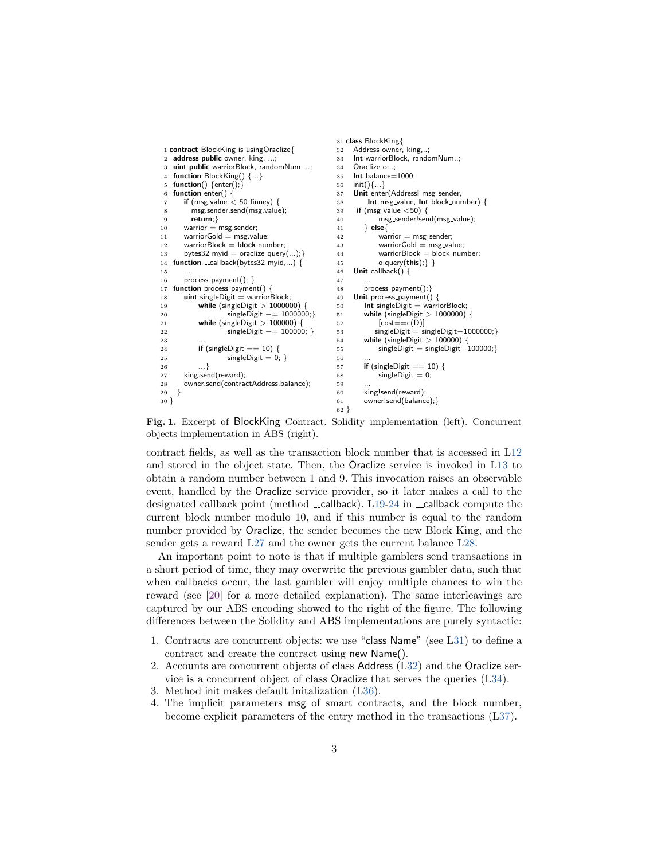```
1 contract BlockKing is usingOraclize{
2 address public owner, king, ...;
3 uint public warriorBlock, randomNum ...;
4 function BlockKing() {...}
 5 function() \{ enter();\}6 function enter() {
7 if (msg.value \lt 50 finney) {
8 msg.sender.send(msg.value);
9 return;}
10 warrior = msg.sender;
11 warriorGold = msg.value;
12 warriorBlock = block_number;13 bytes32 myid = oraclize_query(...);14 function __callback(bytes32 myid,...) {
15
16 process_payment(); }
17 function process_payment() {
18 uint singleDigit = warriorBlock;
19 while (singleDigit > 1000000)
20 singleDigit –= 1000000;}
21 while (singleDigit > 100000)
22 singleDigit –= 100000; }
23 ...
24 if (singleDigit == 10) {
25 singleDigit = 0; }
26 ...}
27 king.send(reward);
28 owner.send(contractAddress.balance);<br>29 }
29 }
30 }
                                               31 class BlockKing{
                                               32 Address owner, king,..;
                                               33 Int warriorBlock, randomNum..;
                                               34 Oraclize o...;
                                              35 Int balance=1000;
                                               36 init(){...}
                                               37 Unit enter(AddressI msg sender,
                                               38 Int msg_value, Int block_number) {
                                               39 if (msg_value \lt50) {
                                               40 msg sender!send(msg value);
                                               41 } else{
                                               42 warrior = msg_sender;
                                               43 warriorGold = msg_value;
                                               44 warriorBlock = block_number;
                                               45 o!query(this); \}46 Unit callback() {
                                               4748 process_payment(); }<br>49 Unit process_payment()
                                                   Unit process_payment() {
                                               50 Int singleDigit = warriorBlock;<br>51 while (singleDigit > 1000000)
                                                      while (singleDigit > 1000000) {
                                               52 [cost==c(D)]
                                               53 singleDigit = singleDigit−1000000;}
                                               54 while (singleDigit > 100000) {
                                               55 singleDigit = singleDigit-100000;}
                                               56
                                               57 if (singleDigit == 10) {
                                               58 singleDigit = 0;
                                               \frac{59}{60}king!send(reward);
                                               61 owner!send(balance);}
                                               62 }
```
<span id="page-2-19"></span><span id="page-2-18"></span><span id="page-2-17"></span><span id="page-2-10"></span><span id="page-2-9"></span><span id="page-2-8"></span><span id="page-2-7"></span><span id="page-2-0"></span>Fig. 1. Excerpt of BlockKing Contract. Solidity implementation (left). Concurrent objects implementation in ABS (right).

contract fields, as well as the transaction block number that is accessed in [L12](#page-2-5) and stored in the object state. Then, the Oraclize service is invoked in [L13](#page-2-6) to obtain a random number between 1 and 9. This invocation raises an observable event, handled by the Oraclize service provider, so it later makes a call to the designated callback point (method  $\text{\_cal}=$ callback). [L19-](#page-2-7)[24](#page-2-8) in  $\text{\_cal}=$ callback compute the current block number modulo 10, and if this number is equal to the random number provided by Oraclize, the sender becomes the new Block King, and the sender gets a reward [L27](#page-2-9) and the owner gets the current balance [L28.](#page-2-10)

An important point to note is that if multiple gamblers send transactions in a short period of time, they may overwrite the previous gambler data, such that when callbacks occur, the last gambler will enjoy multiple chances to win the reward (see [\[20\]](#page-6-10) for a more detailed explanation). The same interleavings are captured by our ABS encoding showed to the right of the figure. The following differences between the Solidity and ABS implementations are purely syntactic:

- 1. Contracts are concurrent objects: we use "class Name" (see [L31\)](#page-2-11) to define a contract and create the contract using new Name().
- 2. Accounts are concurrent objects of class Address ([L32\)](#page-2-12) and the Oraclize service is a concurrent object of class Oraclize that serves the queries ([L34\)](#page-2-13).
- 3. Method init makes default initalization ([L36\)](#page-2-14).
- 4. The implicit parameters msg of smart contracts, and the block number, become explicit parameters of the entry method in the transactions ([L37\)](#page-2-15).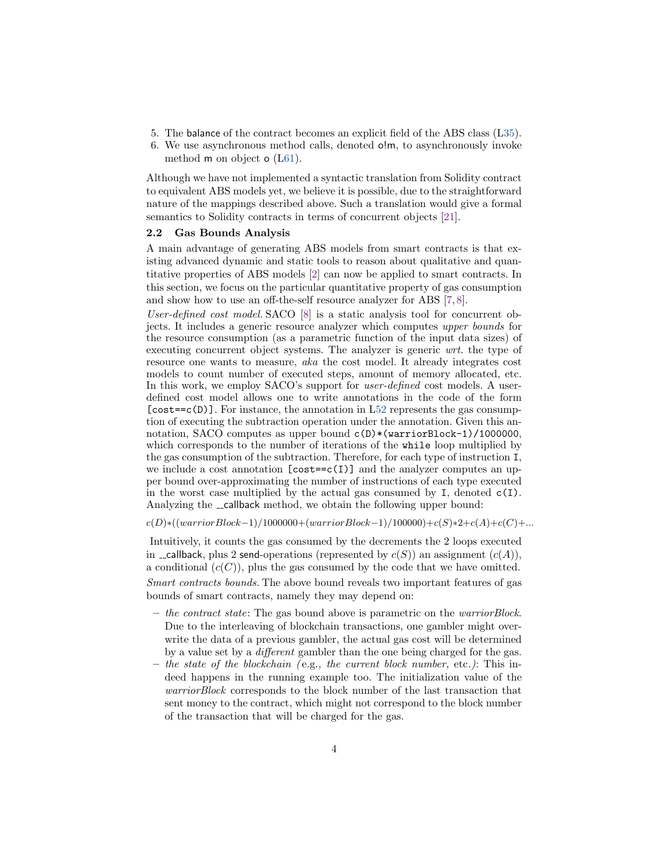- 5. The balance of the contract becomes an explicit field of the ABS class ([L35\)](#page-2-16).
- 6. We use asynchronous method calls, denoted o!m, to asynchronously invoke method m on object o ([L61\)](#page-2-17).

Although we have not implemented a syntactic translation from Solidity contract to equivalent ABS models yet, we believe it is possible, due to the straightforward nature of the mappings described above. Such a translation would give a formal semantics to Solidity contracts in terms of concurrent objects [\[21\]](#page-6-11).

#### 2.2 Gas Bounds Analysis

A main advantage of generating ABS models from smart contracts is that existing advanced dynamic and static tools to reason about qualitative and quantitative properties of ABS models [\[2\]](#page-6-12) can now be applied to smart contracts. In this section, we focus on the particular quantitative property of gas consumption and show how to use an off-the-self resource analyzer for ABS [\[7,](#page-6-13) [8\]](#page-6-5).

User-defined cost model. SACO [\[8\]](#page-6-5) is a static analysis tool for concurrent objects. It includes a generic resource analyzer which computes upper bounds for the resource consumption (as a parametric function of the input data sizes) of executing concurrent object systems. The analyzer is generic wrt. the type of resource one wants to measure, aka the cost model. It already integrates cost models to count number of executed steps, amount of memory allocated, etc. In this work, we employ SACO's support for *user-defined* cost models. A userdefined cost model allows one to write annotations in the code of the form  $[cost == c(D)]$ . For instance, the annotation in [L52](#page-2-18) represents the gas consumption of executing the subtraction operation under the annotation. Given this annotation, SACO computes as upper bound  $c(D)*(warriorBlock-1)/1000000$ , which corresponds to the number of iterations of the while loop multiplied by the gas consumption of the subtraction. Therefore, for each type of instruction I, we include a cost annotation  $[cost == c(I)]$  and the analyzer computes an upper bound over-approximating the number of instructions of each type executed in the worst case multiplied by the actual gas consumed by I, denoted  $c(I)$ . Analyzing the \_callback method, we obtain the following upper bound:

 $c(D) * ((warrior Block-1)/1000000+(warrior Block-1)/100000)+c(S) *2+c(A)+c(C)+...$ 

Intuitively, it counts the gas consumed by the decrements the 2 loops executed in \_callback, plus 2 send-operations (represented by  $c(S)$ ) an assignment  $(c(A))$ , a conditional  $(c(C))$ , plus the gas consumed by the code that we have omitted. Smart contracts bounds. The above bound reveals two important features of gas bounds of smart contracts, namely they may depend on:

- $-$  the contract state: The gas bound above is parametric on the *warriorBlock*. Due to the interleaving of blockchain transactions, one gambler might overwrite the data of a previous gambler, the actual gas cost will be determined by a value set by a different gambler than the one being charged for the gas.
- $-$  the state of the blockchain (e.g., the current block number, etc.): This indeed happens in the running example too. The initialization value of the warriorBlock corresponds to the block number of the last transaction that sent money to the contract, which might not correspond to the block number of the transaction that will be charged for the gas.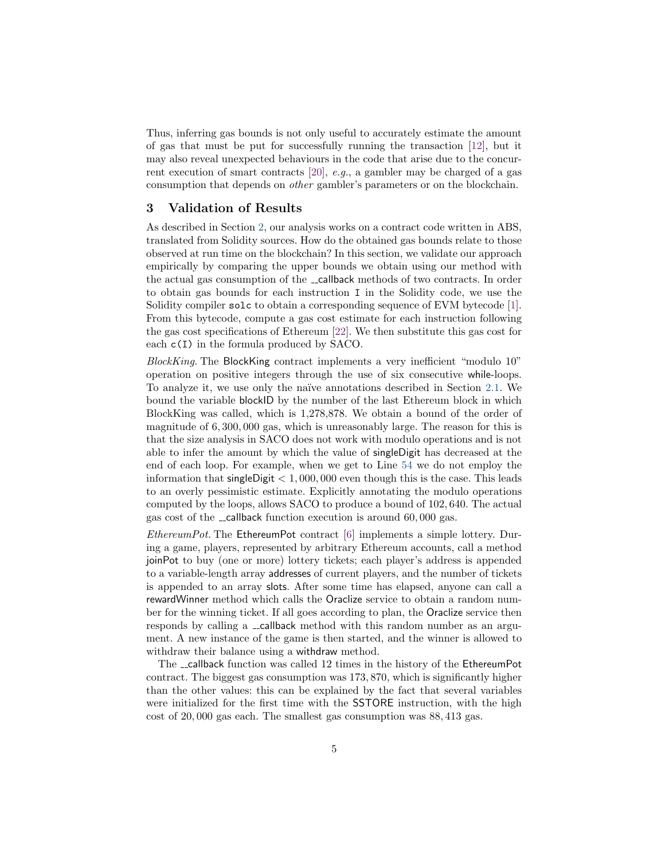Thus, inferring gas bounds is not only useful to accurately estimate the amount of gas that must be put for successfully running the transaction [\[12\]](#page-6-14), but it may also reveal unexpected behaviours in the code that arise due to the concurrent execution of smart contracts [\[20\]](#page-6-10), e.g., a gambler may be charged of a gas consumption that depends on other gambler's parameters or on the blockchain.

## 3 Validation of Results

As described in Section [2,](#page-1-0) our analysis works on a contract code written in ABS, translated from Solidity sources. How do the obtained gas bounds relate to those observed at run time on the blockchain? In this section, we validate our approach empirically by comparing the upper bounds we obtain using our method with the actual gas consumption of the \_callback methods of two contracts. In order to obtain gas bounds for each instruction I in the Solidity code, we use the Solidity compiler solc to obtain a corresponding sequence of EVM bytecode [\[1\]](#page-6-3). From this bytecode, compute a gas cost estimate for each instruction following the gas cost specifications of Ethereum [\[22\]](#page-6-1). We then substitute this gas cost for each c(I) in the formula produced by SACO.

 $BlockKing$ . The BlockKing contract implements a very inefficient "modulo 10" operation on positive integers through the use of six consecutive while-loops. To analyze it, we use only the na¨ıve annotations described in Section [2.1.](#page-1-1) We bound the variable blockID by the number of the last Ethereum block in which BlockKing was called, which is 1,278,878. We obtain a bound of the order of magnitude of 6, 300, 000 gas, which is unreasonably large. The reason for this is that the size analysis in SACO does not work with modulo operations and is not able to infer the amount by which the value of singleDigit has decreased at the end of each loop. For example, when we get to Line [54](#page-2-19) we do not employ the information that single Digit  $< 1,000,000$  even though this is the case. This leads to an overly pessimistic estimate. Explicitly annotating the modulo operations computed by the loops, allows SACO to produce a bound of 102, 640. The actual gas cost of the  $\equiv$  callback function execution is around 60,000 gas.

EthereumPot. The EthereumPot contract [\[6\]](#page-6-15) implements a simple lottery. During a game, players, represented by arbitrary Ethereum accounts, call a method joinPot to buy (one or more) lottery tickets; each player's address is appended to a variable-length array addresses of current players, and the number of tickets is appended to an array slots. After some time has elapsed, anyone can call a rewardWinner method which calls the Oraclize service to obtain a random number for the winning ticket. If all goes according to plan, the Oraclize service then responds by calling a \_callback method with this random number as an argument. A new instance of the game is then started, and the winner is allowed to withdraw their balance using a withdraw method.

The \_callback function was called 12 times in the history of the EthereumPot contract. The biggest gas consumption was 173, 870, which is significantly higher than the other values: this can be explained by the fact that several variables were initialized for the first time with the SSTORE instruction, with the high cost of 20, 000 gas each. The smallest gas consumption was 88, 413 gas.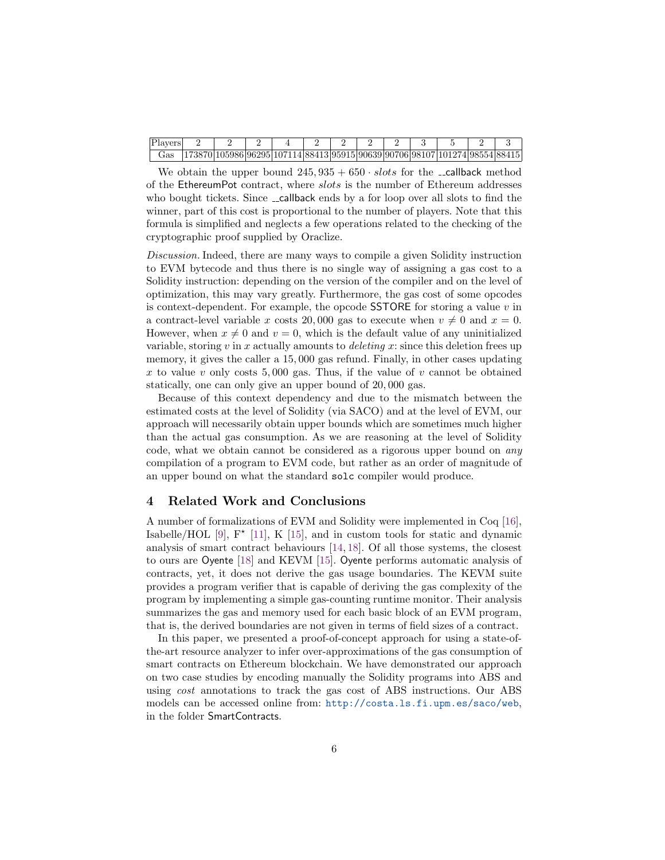| Players |                                                                                 |  |  |  |  |  |  |
|---------|---------------------------------------------------------------------------------|--|--|--|--|--|--|
| Gas :   | $(173870)105986 96295 107114 88413 95915 90639 90706 98107 101274 98554 88415 $ |  |  |  |  |  |  |

We obtain the upper bound  $245,935 + 650 \cdot slots$  for the  $\text{-}$ callback method of the EthereumPot contract, where *slots* is the number of Ethereum addresses who bought tickets. Since \_callback ends by a for loop over all slots to find the winner, part of this cost is proportional to the number of players. Note that this formula is simplified and neglects a few operations related to the checking of the cryptographic proof supplied by Oraclize.

Discussion. Indeed, there are many ways to compile a given Solidity instruction to EVM bytecode and thus there is no single way of assigning a gas cost to a Solidity instruction: depending on the version of the compiler and on the level of optimization, this may vary greatly. Furthermore, the gas cost of some opcodes is context-dependent. For example, the opcode **SSTORE** for storing a value  $v$  in a contract-level variable x costs 20,000 gas to execute when  $v \neq 0$  and  $x = 0$ . However, when  $x \neq 0$  and  $v = 0$ , which is the default value of any uninitialized variable, storing v in x actually amounts to *deleting* x: since this deletion frees up memory, it gives the caller a 15, 000 gas refund. Finally, in other cases updating x to value v only costs 5,000 gas. Thus, if the value of v cannot be obtained statically, one can only give an upper bound of 20, 000 gas.

Because of this context dependency and due to the mismatch between the estimated costs at the level of Solidity (via SACO) and at the level of EVM, our approach will necessarily obtain upper bounds which are sometimes much higher than the actual gas consumption. As we are reasoning at the level of Solidity code, what we obtain cannot be considered as a rigorous upper bound on any compilation of a program to EVM code, but rather as an order of magnitude of an upper bound on what the standard solc compiler would produce.

## 4 Related Work and Conclusions

A number of formalizations of EVM and Solidity were implemented in Coq [\[16\]](#page-6-16), Isabelle/HOL [\[9\]](#page-6-17),  $F^*$  [\[11\]](#page-6-18), K [\[15\]](#page-6-19), and in custom tools for static and dynamic analysis of smart contract behaviours [\[14,](#page-6-20) [18\]](#page-6-21). Of all those systems, the closest to ours are Oyente [\[18\]](#page-6-21) and KEVM [\[15\]](#page-6-19). Oyente performs automatic analysis of contracts, yet, it does not derive the gas usage boundaries. The KEVM suite provides a program verifier that is capable of deriving the gas complexity of the program by implementing a simple gas-counting runtime monitor. Their analysis summarizes the gas and memory used for each basic block of an EVM program, that is, the derived boundaries are not given in terms of field sizes of a contract.

In this paper, we presented a proof-of-concept approach for using a state-ofthe-art resource analyzer to infer over-approximations of the gas consumption of smart contracts on Ethereum blockchain. We have demonstrated our approach on two case studies by encoding manually the Solidity programs into ABS and using cost annotations to track the gas cost of ABS instructions. Our ABS models can be accessed online from: <http://costa.ls.fi.upm.es/saco/web>, in the folder SmartContracts.